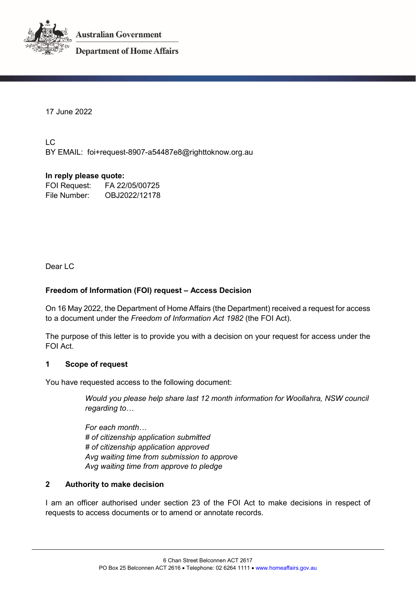

**Australian Government** 

**Department of Home Affairs** 

17 June 2022

LC BY EMAIL: foi+request-8907-a54487e8@righttoknow.org.au

# **In reply please quote:**

FOI Request: FA 22/05/00725 File Number: OBJ2022/12178

Dear LC

## **Freedom of Information (FOI) request – Access Decision**

On 16 May 2022, the Department of Home Affairs (the Department) received a request for access to a document under the *Freedom of Information Act 1982* (the FOI Act).

The purpose of this letter is to provide you with a decision on your request for access under the FOI Act.

### **1 Scope of request**

You have requested access to the following document:

*Would you please help share last 12 month information for Woollahra, NSW council regarding to…*

*For each month… # of citizenship application submitted # of citizenship application approved Avg waiting time from submission to approve Avg waiting time from approve to pledge*

### **2 Authority to make decision**

I am an officer authorised under section 23 of the FOI Act to make decisions in respect of requests to access documents or to amend or annotate records.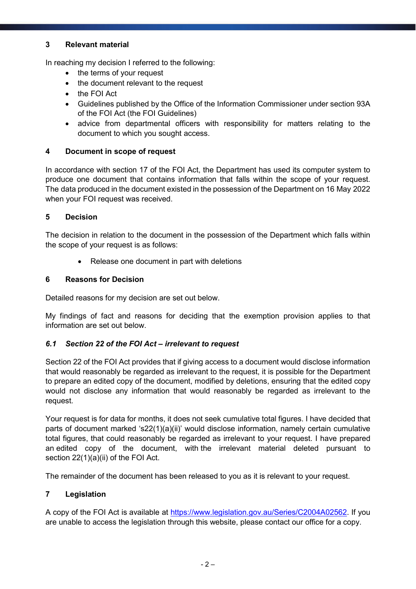## **3 Relevant material**

In reaching my decision I referred to the following:

- the terms of your request
- the document relevant to the request
- the FOI Act
- Guidelines published by the Office of the Information Commissioner under section 93A of the FOI Act (the FOI Guidelines)
- advice from departmental officers with responsibility for matters relating to the document to which you sought access.

## **4 Document in scope of request**

In accordance with section 17 of the FOI Act, the Department has used its computer system to produce one document that contains information that falls within the scope of your request. The data produced in the document existed in the possession of the Department on 16 May 2022 when your FOI request was received.

## **5 Decision**

The decision in relation to the document in the possession of the Department which falls within the scope of your request is as follows:

• Release one document in part with deletions

## **6 Reasons for Decision**

Detailed reasons for my decision are set out below.

My findings of fact and reasons for deciding that the exemption provision applies to that information are set out below.

## *6.1 Section 22 of the FOI Act – irrelevant to request*

Section 22 of the FOI Act provides that if giving access to a document would disclose information that would reasonably be regarded as irrelevant to the request, it is possible for the Department to prepare an edited copy of the document, modified by deletions, ensuring that the edited copy would not disclose any information that would reasonably be regarded as irrelevant to the request.

Your request is for data for months, it does not seek cumulative total figures. I have decided that parts of document marked 's22(1)(a)(ii)' would disclose information, namely certain cumulative total figures, that could reasonably be regarded as irrelevant to your request. I have prepared an edited copy of the document, with the irrelevant material deleted pursuant to section 22(1)(a)(ii) of the FOI Act.

The remainder of the document has been released to you as it is relevant to your request.

## **7 Legislation**

A copy of the FOI Act is available at https://www.legislation.gov.au/Series/C2004A02562. If you are unable to access the legislation through this website, please contact our office for a copy.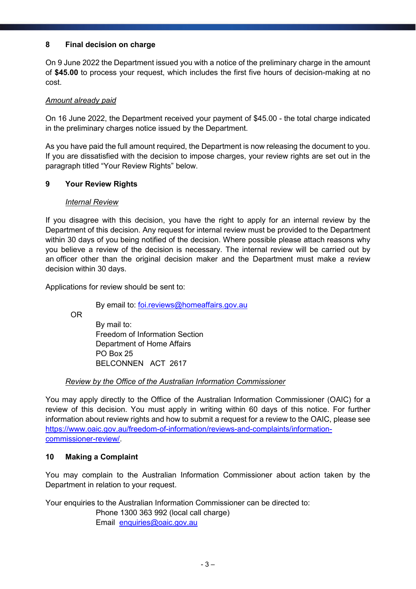## **8 Final decision on charge**

On 9 June 2022 the Department issued you with a notice of the preliminary charge in the amount of **\$45.00** to process your request, which includes the first five hours of decision-making at no cost.

## *Amount already paid*

On 16 June 2022, the Department received your payment of \$45.00 - the total charge indicated in the preliminary charges notice issued by the Department.

As you have paid the full amount required, the Department is now releasing the document to you. If you are dissatisfied with the decision to impose charges, your review rights are set out in the paragraph titled "Your Review Rights" below.

### **9 Your Review Rights**

## *Internal Review*

If you disagree with this decision, you have the right to apply for an internal review by the Department of this decision. Any request for internal review must be provided to the Department within 30 days of you being notified of the decision. Where possible please attach reasons why you believe a review of the decision is necessary. The internal review will be carried out by an officer other than the original decision maker and the Department must make a review decision within 30 days.

Applications for review should be sent to:

By email to: foi.reviews@homeaffairs.gov.au

OR

By mail to: Freedom of Information Section Department of Home Affairs PO Box 25 BELCONNEN ACT 2617

### *Review by the Office of the Australian Information Commissioner*

You may apply directly to the Office of the Australian Information Commissioner (OAIC) for a review of this decision. You must apply in writing within 60 days of this notice. For further information about review rights and how to submit a request for a review to the OAIC, please see https://www.oaic.gov.au/freedom-of-information/reviews-and-complaints/informationcommissioner-review/.

### **10 Making a Complaint**

You may complain to the Australian Information Commissioner about action taken by the Department in relation to your request.

Your enquiries to the Australian Information Commissioner can be directed to:

Phone 1300 363 992 (local call charge)

Email enquiries@oaic.gov.au